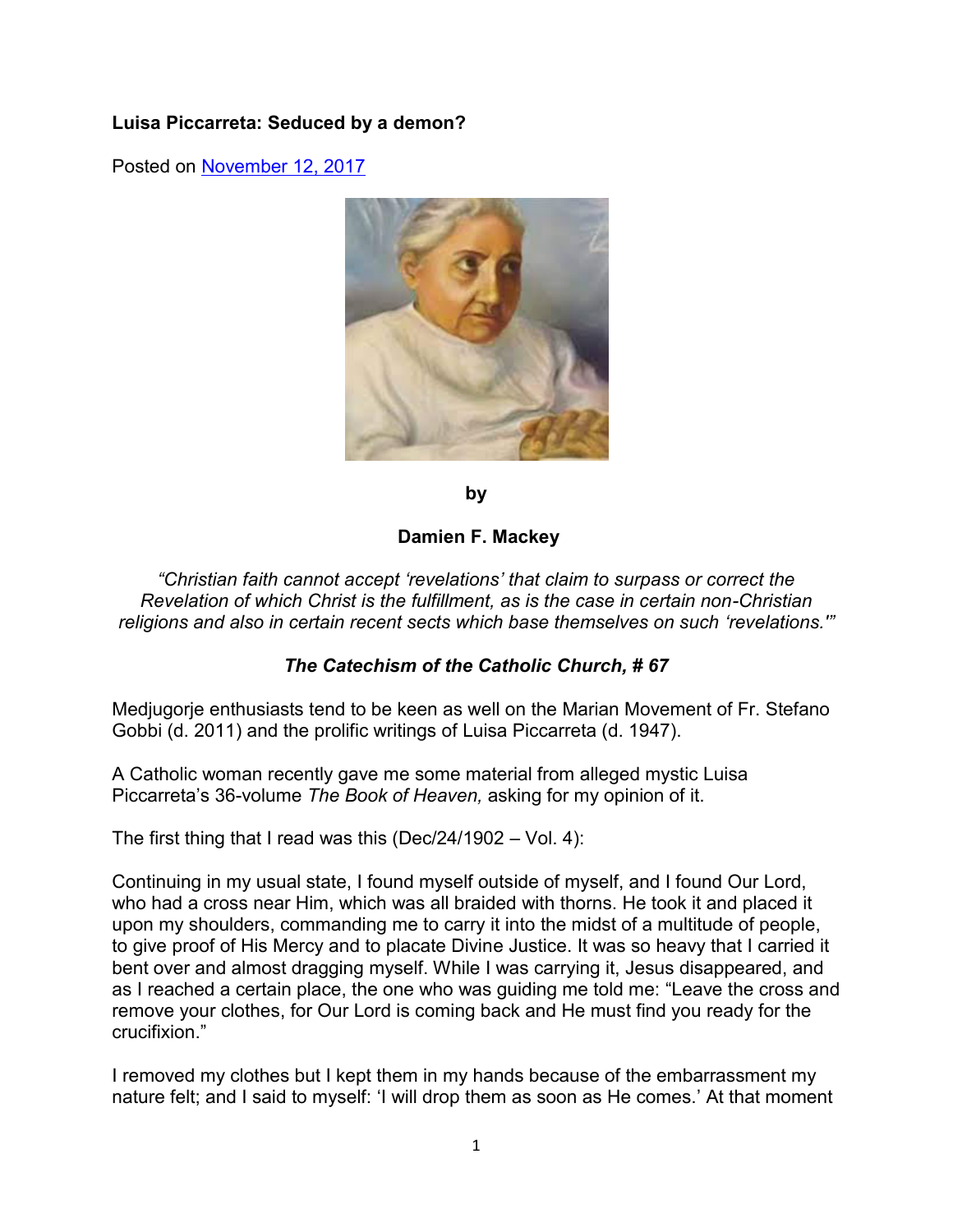# **Luisa Piccarreta: Seduced by a demon?**

Posted on [November 12, 2017](https://amaicword.wordpress.com/2017/11/12/1210/) 



**by**

#### **Damien F. Mackey**

*"Christian faith cannot accept 'revelations' that claim to surpass or correct the Revelation of which Christ is the fulfillment, as is the case in certain non-Christian religions and also in certain recent sects which base themselves on such 'revelations.'"*

### *The Catechism of the Catholic Church, # 67*

Medjugorje enthusiasts tend to be keen as well on the Marian Movement of Fr. Stefano Gobbi (d. 2011) and the prolific writings of Luisa Piccarreta (d. 1947).

A Catholic woman recently gave me some material from alleged mystic Luisa Piccarreta's 36-volume *The Book of Heaven,* asking for my opinion of it.

The first thing that I read was this (Dec/24/1902 – Vol. 4):

Continuing in my usual state, I found myself outside of myself, and I found Our Lord, who had a cross near Him, which was all braided with thorns. He took it and placed it upon my shoulders, commanding me to carry it into the midst of a multitude of people, to give proof of His Mercy and to placate Divine Justice. It was so heavy that I carried it bent over and almost dragging myself. While I was carrying it, Jesus disappeared, and as I reached a certain place, the one who was guiding me told me: "Leave the cross and remove your clothes, for Our Lord is coming back and He must find you ready for the crucifixion."

I removed my clothes but I kept them in my hands because of the embarrassment my nature felt; and I said to myself: 'I will drop them as soon as He comes.' At that moment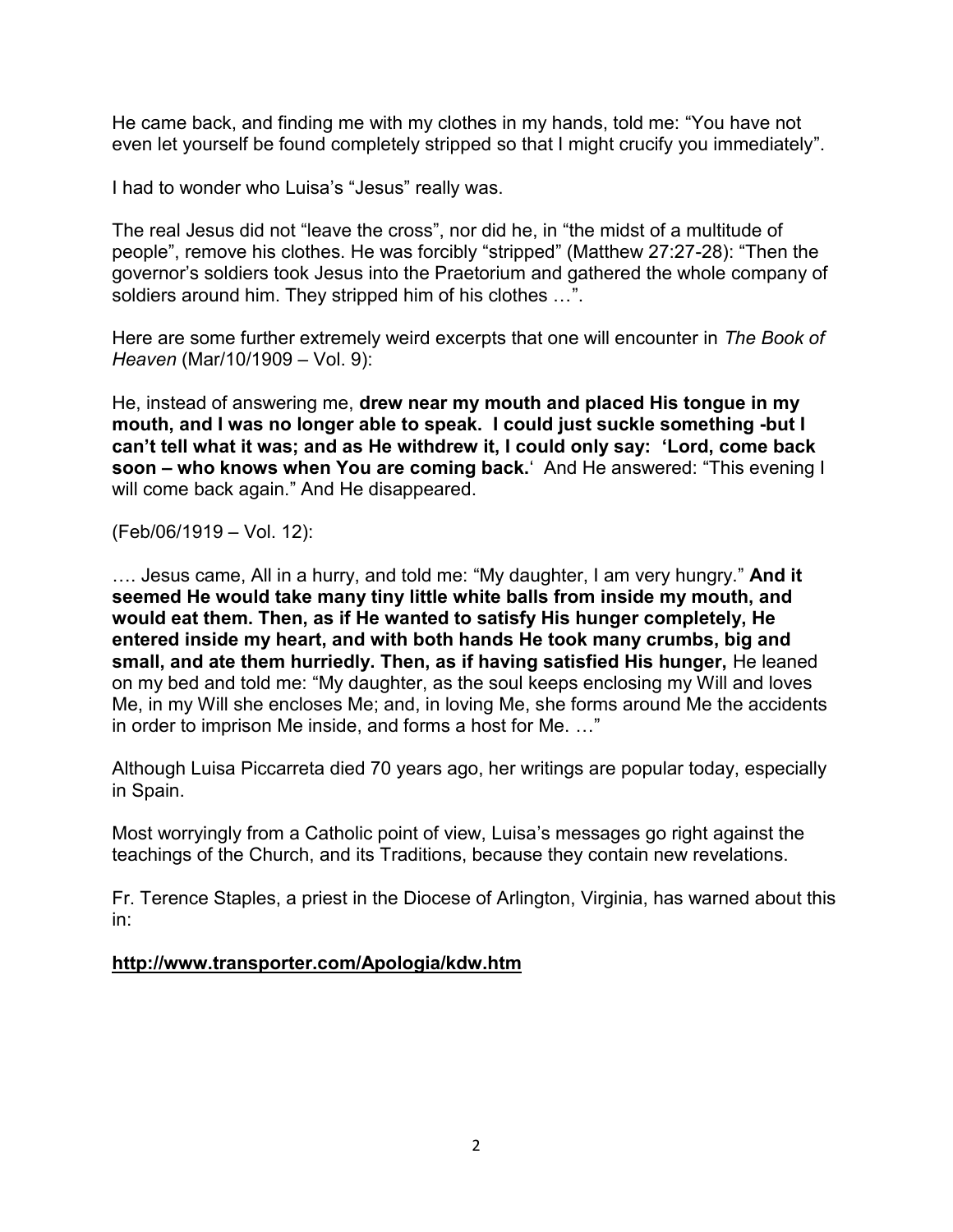He came back, and finding me with my clothes in my hands, told me: "You have not even let yourself be found completely stripped so that I might crucify you immediately".

I had to wonder who Luisa's "Jesus" really was.

The real Jesus did not "leave the cross", nor did he, in "the midst of a multitude of people", remove his clothes. He was forcibly "stripped" (Matthew 27:27-28): "Then the governor's soldiers took Jesus into the Praetorium and gathered the whole company of soldiers around him. They stripped him of his clothes …".

Here are some further extremely weird excerpts that one will encounter in *The Book of Heaven* (Mar/10/1909 – Vol. 9):

He, instead of answering me, **drew near my mouth and placed His tongue in my mouth, and I was no longer able to speak. I could just suckle something -but I can't tell what it was; and as He withdrew it, I could only say: 'Lord, come back soon – who knows when You are coming back.**' And He answered: "This evening I will come back again." And He disappeared.

(Feb/06/1919 – Vol. 12):

…. Jesus came, All in a hurry, and told me: "My daughter, I am very hungry." **And it seemed He would take many tiny little white balls from inside my mouth, and would eat them. Then, as if He wanted to satisfy His hunger completely, He entered inside my heart, and with both hands He took many crumbs, big and small, and ate them hurriedly. Then, as if having satisfied His hunger,** He leaned on my bed and told me: "My daughter, as the soul keeps enclosing my Will and loves Me, in my Will she encloses Me; and, in loving Me, she forms around Me the accidents in order to imprison Me inside, and forms a host for Me. …"

Although Luisa Piccarreta died 70 years ago, her writings are popular today, especially in Spain.

Most worryingly from a Catholic point of view, Luisa's messages go right against the teachings of the Church, and its Traditions, because they contain new revelations.

Fr. Terence Staples, a priest in the Diocese of Arlington, Virginia, has warned about this in:

### **<http://www.transporter.com/Apologia/kdw.htm>**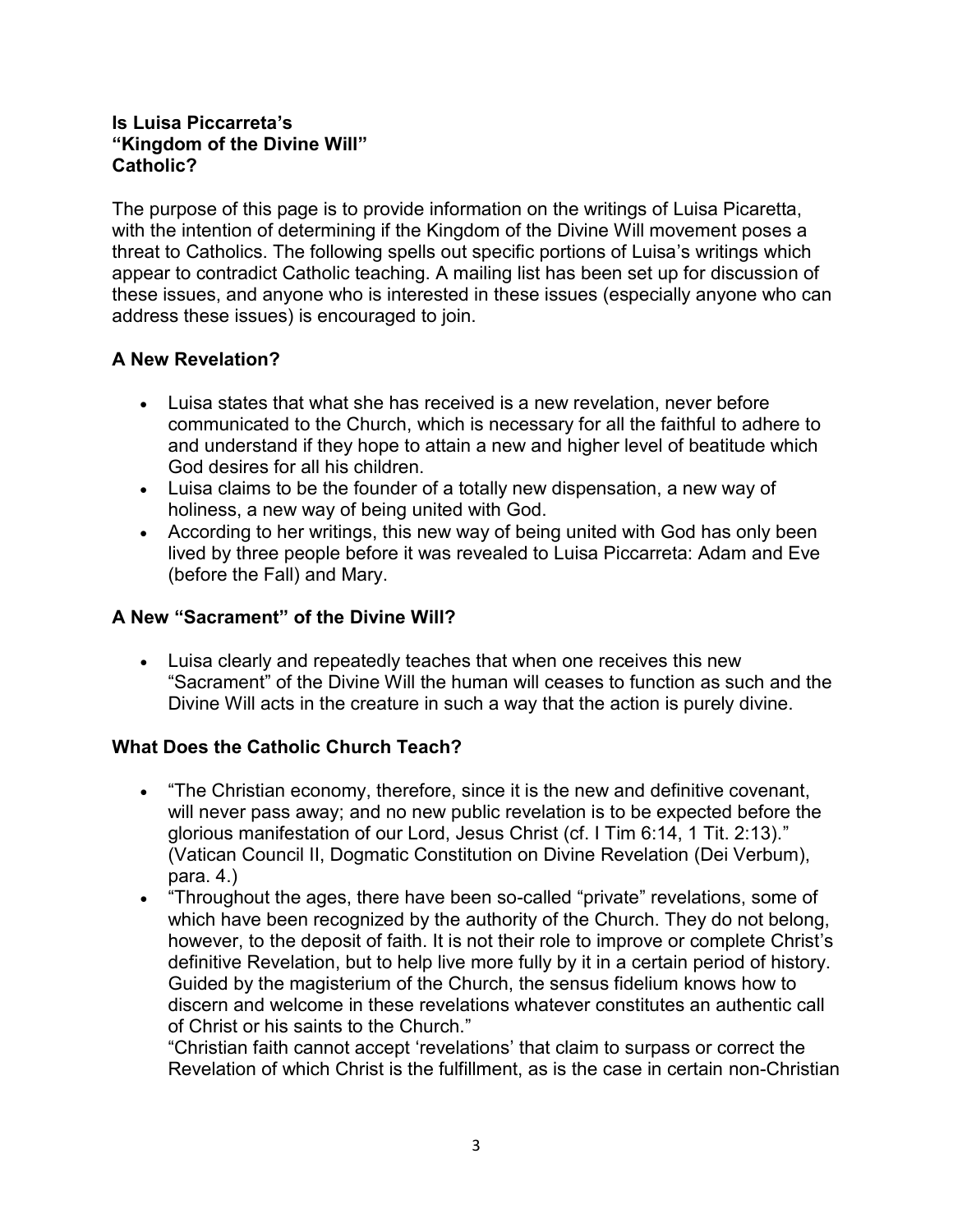### **Is Luisa Piccarreta's "Kingdom of the Divine Will" Catholic?**

The purpose of this page is to provide information on the writings of Luisa Picaretta, with the intention of determining if the Kingdom of the Divine Will movement poses a threat to Catholics. The following spells out specific portions of Luisa's writings which appear to contradict Catholic teaching. A mailing list has been set up for discussion of these issues, and anyone who is interested in these issues (especially anyone who can address these issues) is encouraged to join.

# **A New Revelation?**

- Luisa states that what she has received is a new revelation, never before communicated to the Church, which is necessary for all the faithful to adhere to and understand if they hope to attain a new and higher level of beatitude which God desires for all his children.
- Luisa claims to be the founder of a totally new dispensation, a new way of holiness, a new way of being united with God.
- According to her writings, this new way of being united with God has only been lived by three people before it was revealed to Luisa Piccarreta: Adam and Eve (before the Fall) and Mary.

# **A New "Sacrament" of the Divine Will?**

 Luisa clearly and repeatedly teaches that when one receives this new "Sacrament" of the Divine Will the human will ceases to function as such and the Divine Will acts in the creature in such a way that the action is purely divine.

# **What Does the Catholic Church Teach?**

- "The Christian economy, therefore, since it is the new and definitive covenant, will never pass away; and no new public revelation is to be expected before the glorious manifestation of our Lord, Jesus Christ (cf. I Tim 6:14, 1 Tit. 2:13)." (Vatican Council II, Dogmatic Constitution on Divine Revelation (Dei Verbum), para. 4.)
- "Throughout the ages, there have been so-called "private" revelations, some of which have been recognized by the authority of the Church. They do not belong, however, to the deposit of faith. It is not their role to improve or complete Christ's definitive Revelation, but to help live more fully by it in a certain period of history. Guided by the magisterium of the Church, the sensus fidelium knows how to discern and welcome in these revelations whatever constitutes an authentic call of Christ or his saints to the Church."

"Christian faith cannot accept 'revelations' that claim to surpass or correct the Revelation of which Christ is the fulfillment, as is the case in certain non-Christian